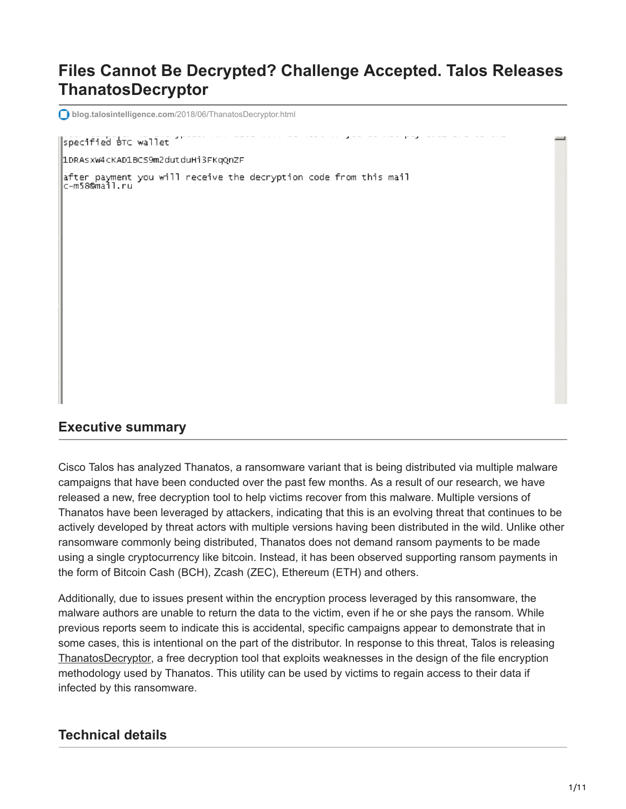# **Files Cannot Be Decrypted? Challenge Accepted. Talos Releases ThanatosDecryptor**

**blog.talosintelligence.com**[/2018/06/ThanatosDecryptor.html](https://blog.talosintelligence.com/2018/06/ThanatosDecryptor.html)

#### specified BTC wallet

1DRASXW4cKAD1BCS9m2dutduHi3FKqOnZF

|<br>|after payment you will receive the decryption code from this mail<br>|c-m58@mail.ru

#### **Executive summary**

Cisco Talos has analyzed Thanatos, a ransomware variant that is being distributed via multiple malware campaigns that have been conducted over the past few months. As a result of our research, we have released a new, free decryption tool to help victims recover from this malware. Multiple versions of Thanatos have been leveraged by attackers, indicating that this is an evolving threat that continues to be actively developed by threat actors with multiple versions having been distributed in the wild. Unlike other ransomware commonly being distributed, Thanatos does not demand ransom payments to be made using a single cryptocurrency like bitcoin. Instead, it has been observed supporting ransom payments in the form of Bitcoin Cash (BCH), Zcash (ZEC), Ethereum (ETH) and others.

Additionally, due to issues present within the encryption process leveraged by this ransomware, the malware authors are unable to return the data to the victim, even if he or she pays the ransom. While previous reports seem to indicate this is accidental, specific campaigns appear to demonstrate that in some cases, this is intentional on the part of the distributor. In response to this threat, Talos is releasing [ThanatosDecryptor,](https://github.com/Cisco-Talos/ThanatosDecryptor) a free decryption tool that exploits weaknesses in the design of the file encryption methodology used by Thanatos. This utility can be used by victims to regain access to their data if infected by this ransomware.

## **Technical details**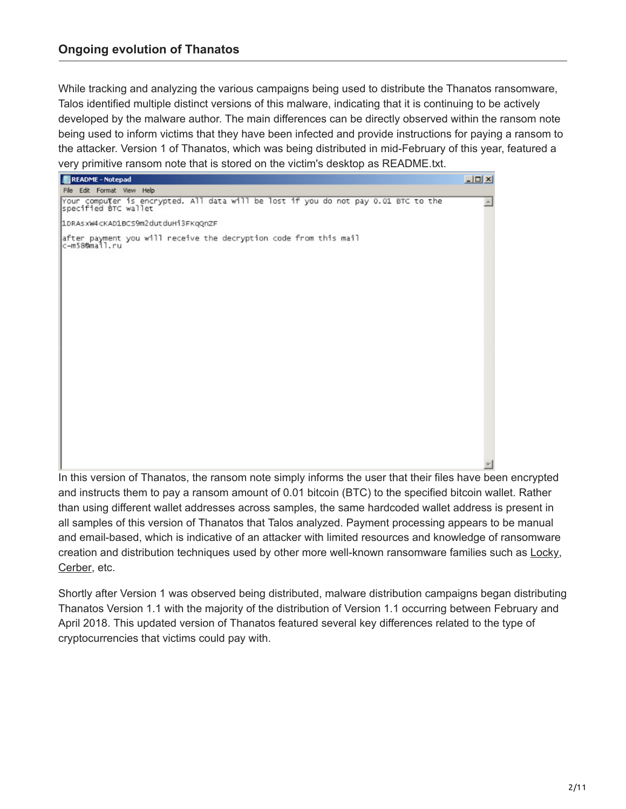## **Ongoing evolution of Thanatos**

While tracking and analyzing the various campaigns being used to distribute the Thanatos ransomware, Talos identified multiple distinct versions of this malware, indicating that it is continuing to be actively developed by the malware author. The main differences can be directly observed within the ransom note being used to inform victims that they have been infected and provide instructions for paying a ransom to the attacker. Version 1 of Thanatos, which was being distributed in mid-February of this year, featured a very primitive ransom note that is stored on the victim's desktop as README.txt.



In this version of Thanatos, the ransom note simply informs the user that their files have been encrypted and instructs them to pay a ransom amount of 0.01 bitcoin (BTC) to the specified bitcoin wallet. Rather than using different wallet addresses across samples, the same hardcoded wallet address is present in all samples of this version of Thanatos that Talos analyzed. Payment processing appears to be manual and email-based, which is indicative of an attacker with limited resources and knowledge of ransomware creation and distribution techniques used by other more well-known ransomware families such as [Locky,](https://blog.talosintelligence.com/2017/06/necurs-locky-campaign.html) [Cerber,](https://blog.talosintelligence.com/2016/11/cerber-spam-tor.html) etc.

Shortly after Version 1 was observed being distributed, malware distribution campaigns began distributing Thanatos Version 1.1 with the majority of the distribution of Version 1.1 occurring between February and April 2018. This updated version of Thanatos featured several key differences related to the type of cryptocurrencies that victims could pay with.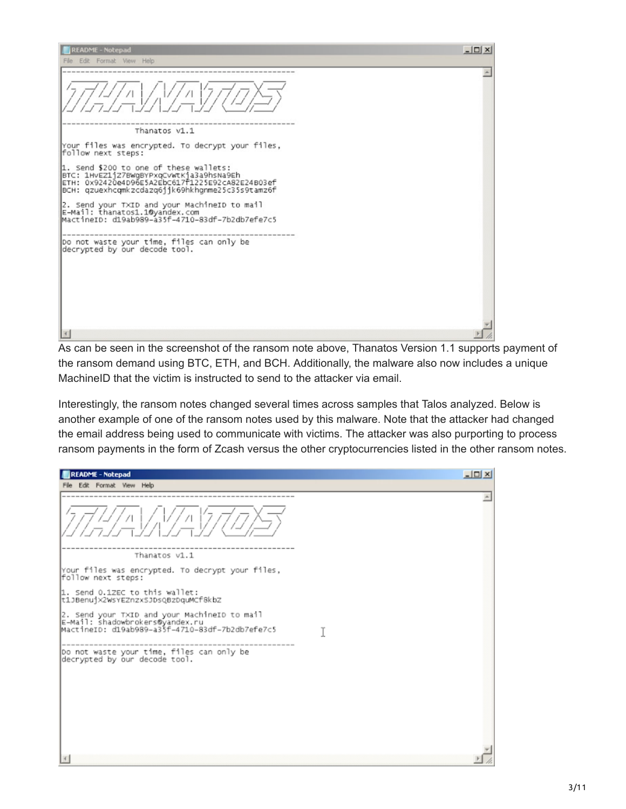| <b>README - Notepad</b>                                                                                                                                                                 | $ \Box$ $\times$ |
|-----------------------------------------------------------------------------------------------------------------------------------------------------------------------------------------|------------------|
| File Edit Format View Help                                                                                                                                                              |                  |
|                                                                                                                                                                                         |                  |
| Thanatos v1.1                                                                                                                                                                           |                  |
| Your files was encrypted. To decrypt your files,<br>follow next steps:                                                                                                                  |                  |
| 1. Send \$200 to one of these wallets:<br>BTC: 1HvEZ11Z7BWqBYPxqCvWtK1a3a9hsNa9Eh<br>ETH: 0x92420e4D96E5A2EbC617f1225E92cA82E24B03ef<br>BCH: qzuexhcqmkzcdazq6jjk69hkhgnme25c35s9tamz6f |                  |
| 2. Send your TXID and your MachineID to mail<br>E-Mail: thanatos1.1@yandex.com<br>MactineID: d19ab989-a35f-4710-83df-7b2db7efe7c5                                                       |                  |
| Do not waste your time, files can only be<br>decrypted by our decode tool.                                                                                                              |                  |
|                                                                                                                                                                                         |                  |
|                                                                                                                                                                                         |                  |
|                                                                                                                                                                                         |                  |
|                                                                                                                                                                                         |                  |

As can be seen in the screenshot of the ransom note above, Thanatos Version 1.1 supports payment of the ransom demand using BTC, ETH, and BCH. Additionally, the malware also now includes a unique MachineID that the victim is instructed to send to the attacker via email.

Interestingly, the ransom notes changed several times across samples that Talos analyzed. Below is another example of one of the ransom notes used by this malware. Note that the attacker had changed the email address being used to communicate with victims. The attacker was also purporting to process ransom payments in the form of Zcash versus the other cryptocurrencies listed in the other ransom notes.

| <b>README - Notepad</b>                                                                                                            | $ \Box$ $\times$ |  |
|------------------------------------------------------------------------------------------------------------------------------------|------------------|--|
| File Edit Format View Help                                                                                                         |                  |  |
|                                                                                                                                    |                  |  |
| Thanatos v1.1                                                                                                                      |                  |  |
| Your files was encrypted. To decrypt your files,<br>follow next steps:                                                             |                  |  |
| 1. Send 0.1ZEC to this wallet:<br>t1JBenuj×2WsYEZnzxSJDsQBzDquMCf8kbZ                                                              |                  |  |
| 2. Send your TXID and your MachineID to mail<br>E-Mail: shadowbrokers@yandex.ru<br>MactineID: d19ab989-a35f-4710-83df-7b2db7efe7c5 |                  |  |
| Do not waste your time, files can only be<br>decrypted by our decode tool.                                                         |                  |  |
|                                                                                                                                    |                  |  |
|                                                                                                                                    |                  |  |
|                                                                                                                                    |                  |  |
|                                                                                                                                    |                  |  |
|                                                                                                                                    |                  |  |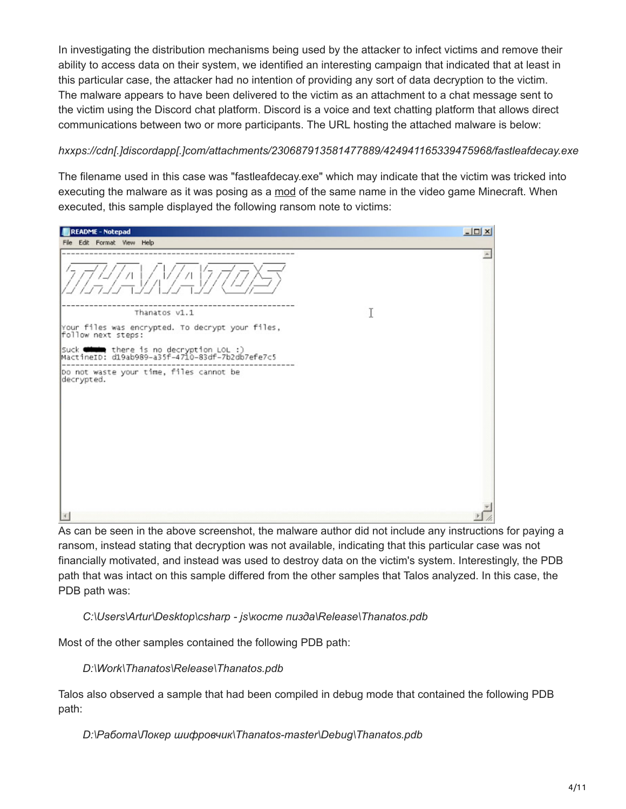In investigating the distribution mechanisms being used by the attacker to infect victims and remove their ability to access data on their system, we identified an interesting campaign that indicated that at least in this particular case, the attacker had no intention of providing any sort of data decryption to the victim. The malware appears to have been delivered to the victim as an attachment to a chat message sent to the victim using the Discord chat platform. Discord is a voice and text chatting platform that allows direct communications between two or more participants. The URL hosting the attached malware is below:

#### *hxxps://cdn[.]discordapp[.]com/attachments/230687913581477889/424941165339475968/fastleafdecay.exe*

The filename used in this case was "fastleafdecay.exe" which may indicate that the victim was tricked into executing the malware as it was posing as a [mod](https://minecraft.curseforge.com/projects/fast-leaf-decay) of the same name in the video game Minecraft. When executed, this sample displayed the following ransom note to victims:

| <b>README - Notepad</b>                                                                    |   | $-10X$           |
|--------------------------------------------------------------------------------------------|---|------------------|
| File Edit Format View Help                                                                 |   |                  |
|                                                                                            |   | $\blacktriangle$ |
| Thanatos v1.1                                                                              | I |                  |
| Your files was encrypted. To decrypt your files,<br> follow next steps:                    |   |                  |
| suck with there is no decryption LOL :)<br>MactineID: d19ab989-a35f-4710-83df-7b2db7efe7c5 |   |                  |
| Do not waste your time, files cannot be<br>decrypted.                                      |   |                  |
|                                                                                            |   |                  |

As can be seen in the above screenshot, the malware author did not include any instructions for paying a ransom, instead stating that decryption was not available, indicating that this particular case was not financially motivated, and instead was used to destroy data on the victim's system. Interestingly, the PDB path that was intact on this sample differed from the other samples that Talos analyzed. In this case, the PDB path was:

 *C:\Users\Artur\Desktop\csharp - js\косте пизда\Release\Thanatos.pdb*

Most of the other samples contained the following PDB path:

 *D:\Work\Thanatos\Release\Thanatos.pdb*

Talos also observed a sample that had been compiled in debug mode that contained the following PDB path:

 *D:\Работа\Локер шифровчик\Thanatos-master\Debug\Thanatos.pdb*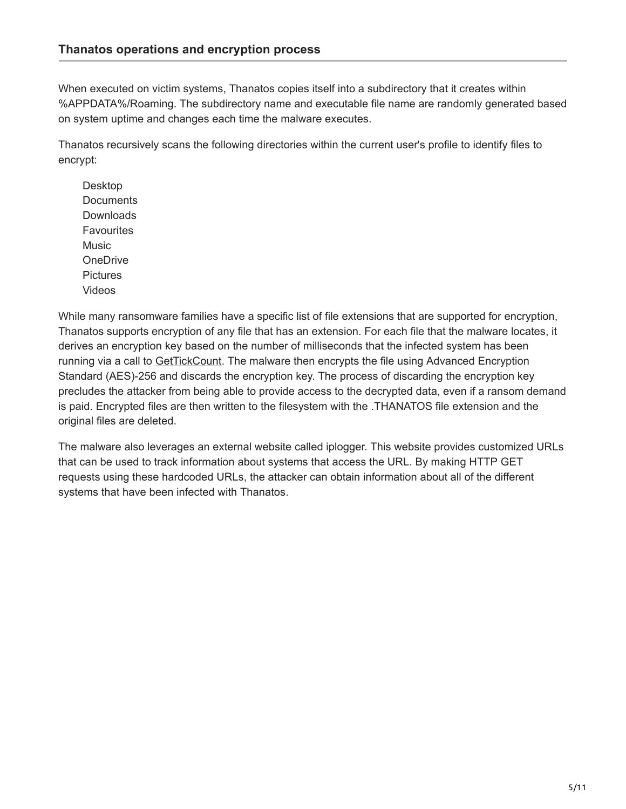When executed on victim systems, Thanatos copies itself into a subdirectory that it creates within %APPDATA%/Roaming. The subdirectory name and executable file name are randomly generated based on system uptime and changes each time the malware executes.

Thanatos recursively scans the following directories within the current user's profile to identify files to encrypt:

 Desktop **Documents Downloads Favourites**  Music OneDrive **Pictures** Videos

While many ransomware families have a specific list of file extensions that are supported for encryption, Thanatos supports encryption of any file that has an extension. For each file that the malware locates, it derives an encryption key based on the number of milliseconds that the infected system has been running via a call to [GetTickCount.](https://msdn.microsoft.com/en-us/library/windows/desktop/ms724408) The malware then encrypts the file using Advanced Encryption Standard (AES)-256 and discards the encryption key. The process of discarding the encryption key precludes the attacker from being able to provide access to the decrypted data, even if a ransom demand is paid. Encrypted files are then written to the filesystem with the .THANATOS file extension and the original files are deleted.

The malware also leverages an external website called iplogger. This website provides customized URLs that can be used to track information about systems that access the URL. By making HTTP GET requests using these hardcoded URLs, the attacker can obtain information about all of the different systems that have been infected with Thanatos.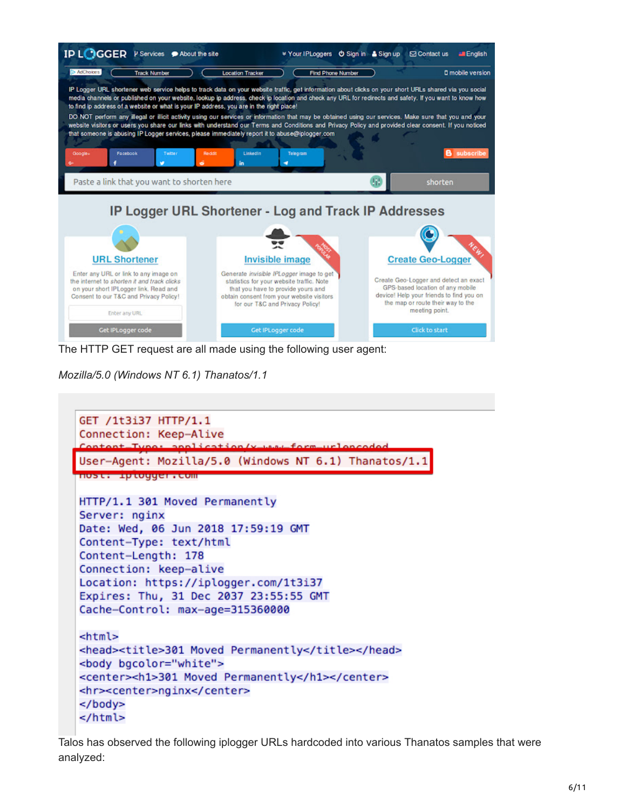

The HTTP GET request are all made using the following user agent:

*Mozilla/5.0 (Windows NT 6.1) Thanatos/1.1*

```
GET /1t3i37 HTTP/1.1
Connection: Keep-Alive
Content-Tune: annication/v
User-Agent: Mozilla/5.0 (Windows NT 6.1) Thanatos/1.1
<u>noster – gruogger reom</u>
HTTP/1.1 301 Moved Permanently
Server: nginx
Date: Wed, 06 Jun 2018 17:59:19 GMT
Content-Type: text/html
Content-Length: 178
Connection: keep-alive
Location: https://iplogger.com/1t3i37
Expires: Thu, 31 Dec 2037 23:55:55 GMT
Cache-Control: max-age=315360000
<html>
<head><title>301 Moved Permanently</title></head>
<body bgcolor="white">
<center><h1>301 Moved Permanently</h1></center>
<hr><center>nginx</center>
</body>
</html>
```
Talos has observed the following iplogger URLs hardcoded into various Thanatos samples that were analyzed: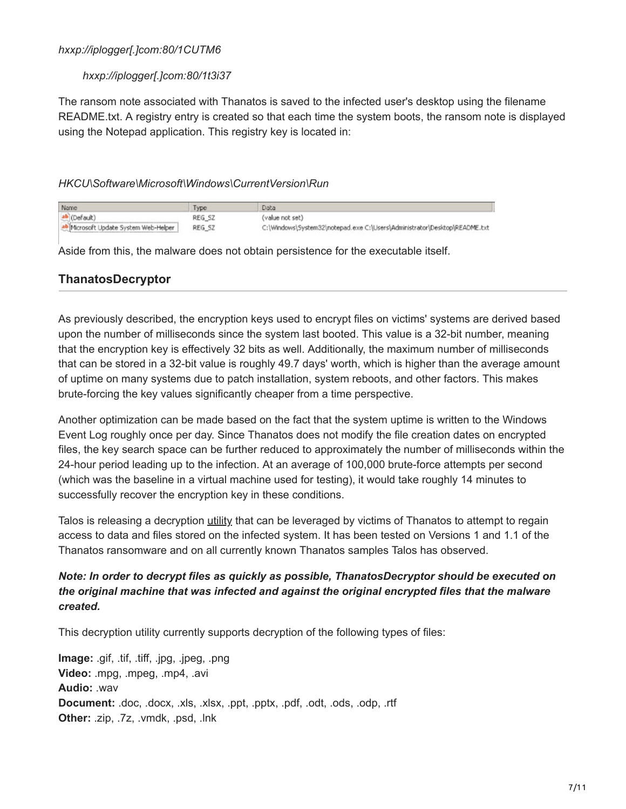#### *hxxp://iplogger[.]com:80/1CUTM6*

#### *hxxp://iplogger[.]com:80/1t3i37*

The ransom note associated with Thanatos is saved to the infected user's desktop using the filename README.txt. A registry entry is created so that each time the system boots, the ransom note is displayed using the Notepad application. This registry key is located in:

#### *HKCU\Software\Microsoft\Windows\CurrentVersion\Run*

| Name                                  | <b>I</b> ype | Data                                                                      |
|---------------------------------------|--------------|---------------------------------------------------------------------------|
| ab (Default)                          | REG SZ       | (value not set)                                                           |
| ab Microsoft Update System Web-Helper | REG SZ       | C:\Windows\System32\notepad.exe C:\Users\Administrator\Desktop\README.txt |

Aside from this, the malware does not obtain persistence for the executable itself.

## **ThanatosDecryptor**

As previously described, the encryption keys used to encrypt files on victims' systems are derived based upon the number of milliseconds since the system last booted. This value is a 32-bit number, meaning that the encryption key is effectively 32 bits as well. Additionally, the maximum number of milliseconds that can be stored in a 32-bit value is roughly 49.7 days' worth, which is higher than the average amount of uptime on many systems due to patch installation, system reboots, and other factors. This makes brute-forcing the key values significantly cheaper from a time perspective.

Another optimization can be made based on the fact that the system uptime is written to the Windows Event Log roughly once per day. Since Thanatos does not modify the file creation dates on encrypted files, the key search space can be further reduced to approximately the number of milliseconds within the 24-hour period leading up to the infection. At an average of 100,000 brute-force attempts per second (which was the baseline in a virtual machine used for testing), it would take roughly 14 minutes to successfully recover the encryption key in these conditions.

Talos is releasing a decryption [utility](https://github.com/Cisco-Talos/ThanatosDecryptor) that can be leveraged by victims of Thanatos to attempt to regain access to data and files stored on the infected system. It has been tested on Versions 1 and 1.1 of the Thanatos ransomware and on all currently known Thanatos samples Talos has observed.

## *Note: In order to decrypt files as quickly as possible, ThanatosDecryptor should be executed on the original machine that was infected and against the original encrypted files that the malware created.*

This decryption utility currently supports decryption of the following types of files:

**Image:** .gif, .tif, .tiff, .jpg, .jpeg, .png **Video:** .mpg, .mpeg, .mp4, .avi **Audio:** .wav **Document:** .doc, .docx, .xls, .xlsx, .ppt, .pptx, .pdf, .odt, .ods, .odp, .rtf **Other:** .zip, .7z, .vmdk, .psd, .lnk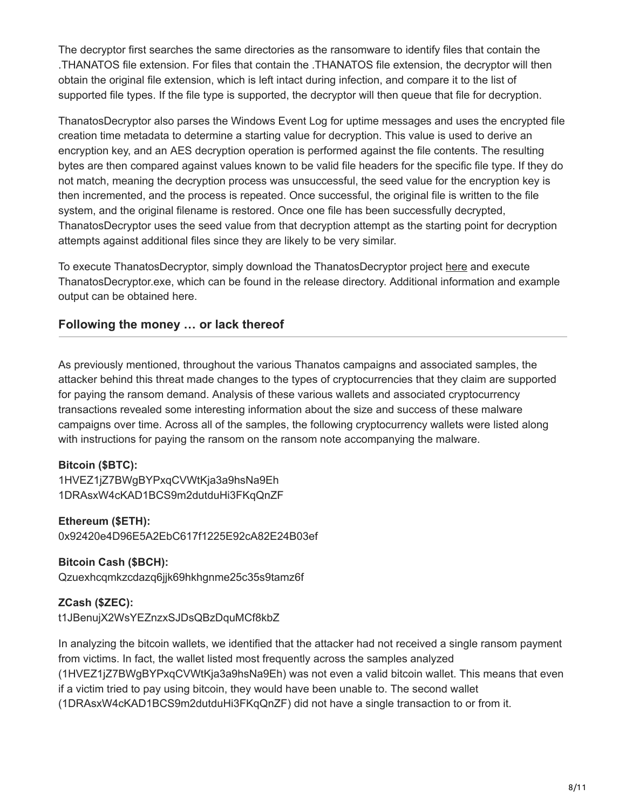The decryptor first searches the same directories as the ransomware to identify files that contain the .THANATOS file extension. For files that contain the .THANATOS file extension, the decryptor will then obtain the original file extension, which is left intact during infection, and compare it to the list of supported file types. If the file type is supported, the decryptor will then queue that file for decryption.

ThanatosDecryptor also parses the Windows Event Log for uptime messages and uses the encrypted file creation time metadata to determine a starting value for decryption. This value is used to derive an encryption key, and an AES decryption operation is performed against the file contents. The resulting bytes are then compared against values known to be valid file headers for the specific file type. If they do not match, meaning the decryption process was unsuccessful, the seed value for the encryption key is then incremented, and the process is repeated. Once successful, the original file is written to the file system, and the original filename is restored. Once one file has been successfully decrypted, ThanatosDecryptor uses the seed value from that decryption attempt as the starting point for decryption attempts against additional files since they are likely to be very similar.

To execute ThanatosDecryptor, simply download the ThanatosDecryptor project [here](https://github.com/Cisco-Talos/ThanatosDecryptor) and execute ThanatosDecryptor.exe, which can be found in the release directory. Additional information and example output can be obtained here.

## **Following the money … or lack thereof**

As previously mentioned, throughout the various Thanatos campaigns and associated samples, the attacker behind this threat made changes to the types of cryptocurrencies that they claim are supported for paying the ransom demand. Analysis of these various wallets and associated cryptocurrency transactions revealed some interesting information about the size and success of these malware campaigns over time. Across all of the samples, the following cryptocurrency wallets were listed along with instructions for paying the ransom on the ransom note accompanying the malware.

#### **Bitcoin (\$BTC):**

1HVEZ1jZ7BWgBYPxqCVWtKja3a9hsNa9Eh 1DRAsxW4cKAD1BCS9m2dutduHi3FKqQnZF

#### **Ethereum (\$ETH):**

0x92420e4D96E5A2EbC617f1225E92cA82E24B03ef

# **Bitcoin Cash (\$BCH):**

Qzuexhcqmkzcdazq6jjk69hkhgnme25c35s9tamz6f

#### **ZCash (\$ZEC):**

t1JBenujX2WsYEZnzxSJDsQBzDquMCf8kbZ

In analyzing the bitcoin wallets, we identified that the attacker had not received a single ransom payment from victims. In fact, the wallet listed most frequently across the samples analyzed (1HVEZ1jZ7BWgBYPxqCVWtKja3a9hsNa9Eh) was not even a valid bitcoin wallet. This means that even if a victim tried to pay using bitcoin, they would have been unable to. The second wallet (1DRAsxW4cKAD1BCS9m2dutduHi3FKqQnZF) did not have a single transaction to or from it.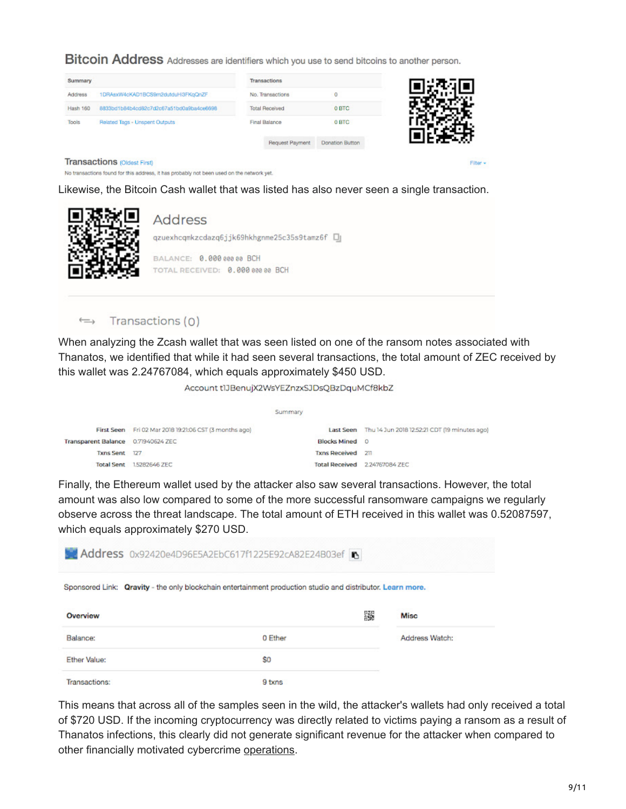**Bitcoin Address** Addresses are identifiers which you use to send bitcoins to another person.

| Summary                                 |                                          | <b>Transactions</b>   |                        |          |
|-----------------------------------------|------------------------------------------|-----------------------|------------------------|----------|
| Address                                 | 1DRAsxW4cKAD1BCS9m2dutduHi3FKqQnZF       | No. Transactions      | 0                      |          |
| Hash 160                                | 8833bd1b84b4cd82c7d2c67a51bd0a9bs4ce6698 | <b>Total Received</b> | 0 BTC                  |          |
| Tools<br>Related Tags - Unspent Outputs |                                          | Final Balance         | 0 BTC                  |          |
|                                         |                                          | Request Payment       | <b>Donation Button</b> |          |
|                                         | <b>Transactions roldest Firsth</b>       |                       |                        | Filter + |

**Transactions (Oldest First)** 

No transactions found for this address, it has probably not been used on the network yet.

Likewise, the Bitcoin Cash wallet that was listed has also never seen a single transaction.



Transactions (0)  $\hookrightarrow$ 

When analyzing the Zcash wallet that was seen listed on one of the ransom notes associated with Thanatos, we identified that while it had seen several transactions, the total amount of ZEC received by this wallet was 2.24767084, which equals approximately \$450 USD.

Account t1JBenujX2WsYEZnzxSJDsQBzDquMCf8kbZ

|               | Summary                                                                                                       |                                                         |
|---------------|---------------------------------------------------------------------------------------------------------------|---------------------------------------------------------|
|               |                                                                                                               | Last Seen Thu 14 Jun 2018 12:52:21 CDT (19 minutes ago) |
|               |                                                                                                               | $\circ$                                                 |
|               |                                                                                                               |                                                         |
| 1,5282646 ZEC |                                                                                                               | Total Received 224767084 ZEC                            |
|               | First Seen Fri 02 Mar 2018 19:21:06 CST (3 months ago)<br>Transparent Balance 0.71940624 ZEC<br>Txns Sent 127 | <b>Blocks Mined</b><br>Txns Received 211                |

Finally, the Ethereum wallet used by the attacker also saw several transactions. However, the total amount was also low compared to some of the more successful ransomware campaigns we regularly observe across the threat landscape. The total amount of ETH received in this wallet was 0.52087597, which equals approximately \$270 USD.

| Address 0x92420e4D96E5A2EbC617f1225E92cA82E24B03ef |                                                                                                            |                |  |  |
|----------------------------------------------------|------------------------------------------------------------------------------------------------------------|----------------|--|--|
|                                                    | Sponsored Link: Qravity - the only blockchain entertainment production studio and distributor. Learn more. |                |  |  |
| Overview                                           | 靈                                                                                                          | Misc           |  |  |
| Balance:                                           | 0 Ether                                                                                                    | Address Watch: |  |  |
| Ether Value:                                       | \$0                                                                                                        |                |  |  |
| Transactions:                                      | 9 txns                                                                                                     |                |  |  |

This means that across all of the samples seen in the wild, the attacker's wallets had only received a total of \$720 USD. If the incoming cryptocurrency was directly related to victims paying a ransom as a result of Thanatos infections, this clearly did not generate significant revenue for the attacker when compared to other financially motivated cybercrime [operations](https://www.talosintelligence.com/angler-exposed).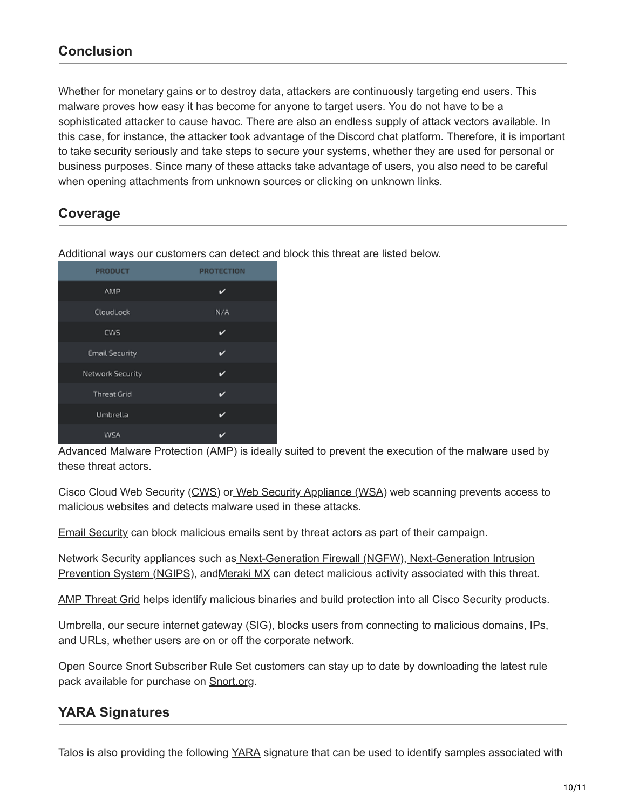# **Conclusion**

Whether for monetary gains or to destroy data, attackers are continuously targeting end users. This malware proves how easy it has become for anyone to target users. You do not have to be a sophisticated attacker to cause havoc. There are also an endless supply of attack vectors available. In this case, for instance, the attacker took advantage of the Discord chat platform. Therefore, it is important to take security seriously and take steps to secure your systems, whether they are used for personal or business purposes. Since many of these attacks take advantage of users, you also need to be careful when opening attachments from unknown sources or clicking on unknown links.

# **Coverage**

| <b>PRODUCT</b>        | <b>PROTECTION</b> |
|-----------------------|-------------------|
| AMP                   | ✓                 |
| CloudLock             | N/A               |
| CWS                   | v                 |
| <b>Email Security</b> | ✓                 |
| Network Security      | v                 |
| <b>Threat Grid</b>    | ✓                 |
| Umbrella              | ✓                 |
| WSA                   |                   |

Additional ways our customers can detect and block this threat are listed below.

Advanced Malware Protection [\(AMP\)](https://www.cisco.com/c/en/us/products/security/advanced-malware-protection) is ideally suited to prevent the execution of the malware used by these threat actors.

Cisco Cloud Web Security [\(CWS](https://www.cisco.com/c/en/us/products/security/cloud-web-security/index.html)) o[r Web Security Appliance \(WSA](https://www.cisco.com/c/en/us/products/security/web-security-appliance/index.html)) web scanning prevents access to malicious websites and detects malware used in these attacks.

[Email Security](https://www.cisco.com/c/en/us/products/security/email-security-appliance/index.html) can block malicious emails sent by threat actors as part of their campaign.

[Network Security appliances such as](https://www.cisco.com/c/en/us/products/security/intrusion-prevention-system-ips/index.html) [Next-Generation Firewall \(](https://www.cisco.com/c/en/us/products/security/firewalls/index.html)[N](https://www.cisco.com/c/en/us/products/security/intrusion-prevention-system-ips/index.html)[GF](https://www.cisco.com/c/en/us/products/security/firewalls/index.html)[W\), Next-Generation Intrusion](https://www.cisco.com/c/en/us/products/security/intrusion-prevention-system-ips/index.html) Prevention System [\(NGIPS](https://www.cisco.com/c/en/us/products/security/intrusion-prevention-system-ips/index.html)), an[dMeraki MX](https://meraki.cisco.com/products/appliances) can detect malicious activity associated with this threat.

[AMP Threat Grid](https://www.cisco.com/c/en/us/solutions/enterprise-networks/amp-threat-grid/index.html) helps identify malicious binaries and build protection into all Cisco Security products.

[Umbrella,](https://umbrella.cisco.com/) our secure internet gateway (SIG), blocks users from connecting to malicious domains, IPs, and URLs, whether users are on or off the corporate network.

Open Source Snort Subscriber Rule Set customers can stay up to date by downloading the latest rule pack available for purchase on [Snort.org.](https://www.snort.org/products)

# **YARA Signatures**

Talos is also providing the following [YARA](https://yara.readthedocs.io/en/v3.7.0/) signature that can be used to identify samples associated with